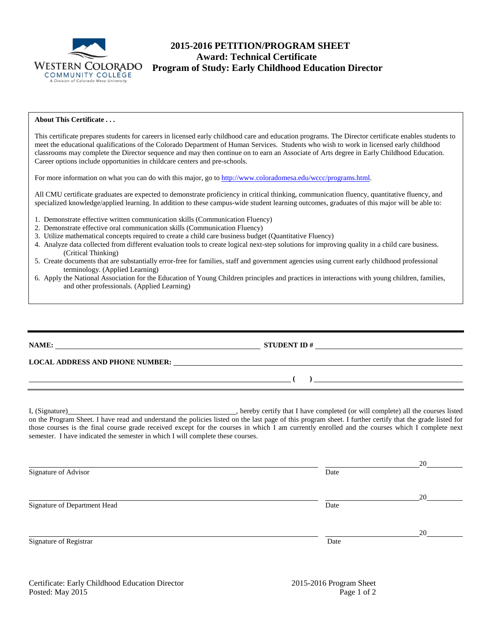

# **2015-2016 PETITION/PROGRAM SHEET Award: Technical Certificate** WESTERN COLORADO<br>
COMMUNITY COLLEGE<br>
A Division of Colorado Mesa University

#### **About This Certificate . . .**

This certificate prepares students for careers in licensed early childhood care and education programs. The Director certificate enables students to meet the educational qualifications of the Colorado Department of Human Services. Students who wish to work in licensed early childhood classrooms may complete the Director sequence and may then continue on to earn an Associate of Arts degree in Early Childhood Education. Career options include opportunities in childcare centers and pre-schools.

For more information on what you can do with this major, go t[o http://www.coloradomesa.edu/wccc/programs.html.](http://www.coloradomesa.edu/wccc/programs.html)

All CMU certificate graduates are expected to demonstrate proficiency in critical thinking, communication fluency, quantitative fluency, and specialized knowledge/applied learning. In addition to these campus-wide student learning outcomes, graduates of this major will be able to:

- 1. Demonstrate effective written communication skills (Communication Fluency)
- 2. Demonstrate effective oral communication skills (Communication Fluency)
- 3. Utilize mathematical concepts required to create a child care business budget (Quantitative Fluency)
- 4. Analyze data collected from different evaluation tools to create logical next-step solutions for improving quality in a child care business. (Critical Thinking)
- 5. Create documents that are substantially error-free for families, staff and government agencies using current early childhood professional terminology. (Applied Learning)
- 6. Apply the National Association for the Education of Young Children principles and practices in interactions with young children, families, and other professionals. (Applied Learning)

**NAME: STUDENT ID #** 

**LOCAL ADDRESS AND PHONE NUMBER:**

I, (Signature) , hereby certify that I have completed (or will complete) all the courses listed on the Program Sheet. I have read and understand the policies listed on the last page of this program sheet. I further certify that the grade listed for those courses is the final course grade received except for the courses in which I am currently enrolled and the courses which I complete next semester. I have indicated the semester in which I will complete these courses.

| Signature of Advisor         | Date | 20 |
|------------------------------|------|----|
|                              |      |    |
|                              |      | 20 |
| Signature of Department Head | Date |    |
|                              |      |    |
|                              |      | 20 |
| Signature of Registrar       | Date |    |
|                              |      |    |

**( )**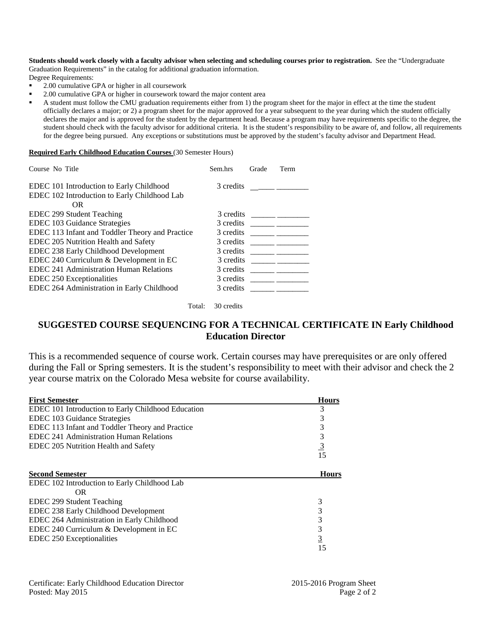**Students should work closely with a faculty advisor when selecting and scheduling courses prior to registration.** See the "Undergraduate Graduation Requirements" in the catalog for additional graduation information.

Degree Requirements:

- 2.00 cumulative GPA or higher in all coursework
- <sup>2</sup> 2.00 cumulative GPA or higher in coursework toward the major content area

 A student must follow the CMU graduation requirements either from 1) the program sheet for the major in effect at the time the student officially declares a major; or 2) a program sheet for the major approved for a year subsequent to the year during which the student officially declares the major and is approved for the student by the department head. Because a program may have requirements specific to the degree, the student should check with the faculty advisor for additional criteria. It is the student's responsibility to be aware of, and follow, all requirements for the degree being pursued. Any exceptions or substitutions must be approved by the student's faculty advisor and Department Head.

#### **Required Early Childhood Education Courses** (30 Semester Hours)

| Course No Title                                                                          | Sem.hrs   | Grade | Term |
|------------------------------------------------------------------------------------------|-----------|-------|------|
| EDEC 101 Introduction to Early Childhood<br>EDEC 102 Introduction to Early Childhood Lab | 3 credits |       |      |
| OR.                                                                                      |           |       |      |
| EDEC 299 Student Teaching                                                                | 3 credits |       |      |
| EDEC 103 Guidance Strategies                                                             | 3 credits |       |      |
| EDEC 113 Infant and Toddler Theory and Practice                                          | 3 credits |       |      |
| EDEC 205 Nutrition Health and Safety                                                     | 3 credits |       |      |
| EDEC 238 Early Childhood Development                                                     | 3 credits |       |      |
| EDEC 240 Curriculum & Development in EC                                                  | 3 credits |       |      |
| <b>EDEC 241 Administration Human Relations</b>                                           | 3 credits |       |      |
| EDEC 250 Exceptionalities                                                                | 3 credits |       |      |
| EDEC 264 Administration in Early Childhood                                               | 3 credits |       |      |

Total: 30 credits

## **SUGGESTED COURSE SEQUENCING FOR A TECHNICAL CERTIFICATE IN Early Childhood Education Director**

This is a recommended sequence of course work. Certain courses may have prerequisites or are only offered during the Fall or Spring semesters. It is the student's responsibility to meet with their advisor and check the 2 year course matrix on the Colorado Mesa website for course availability.

| <b>First Semester</b>                              | <b>Hours</b>   |
|----------------------------------------------------|----------------|
| EDEC 101 Introduction to Early Childhood Education | 3              |
| EDEC 103 Guidance Strategies                       | 3              |
| EDEC 113 Infant and Toddler Theory and Practice    | 3              |
| EDEC 241 Administration Human Relations            | 3              |
| EDEC 205 Nutrition Health and Safety               | $\frac{3}{15}$ |
|                                                    |                |
| <b>Second Semester</b>                             | <b>Hours</b>   |
| EDEC 102 Introduction to Early Childhood Lab       |                |
| OR.                                                |                |
| EDEC 299 Student Teaching                          | 3              |
| EDEC 238 Early Childhood Development               | 3              |
| EDEC 264 Administration in Early Childhood         | 3              |
| EDEC 240 Curriculum & Development in EC            | 3              |
| EDEC 250 Exceptionalities                          | $\overline{3}$ |
|                                                    | 15             |

Certificate: Early Childhood Education Director 2015-2016 Program Sheet Posted: May 2015 Page 2 of 2